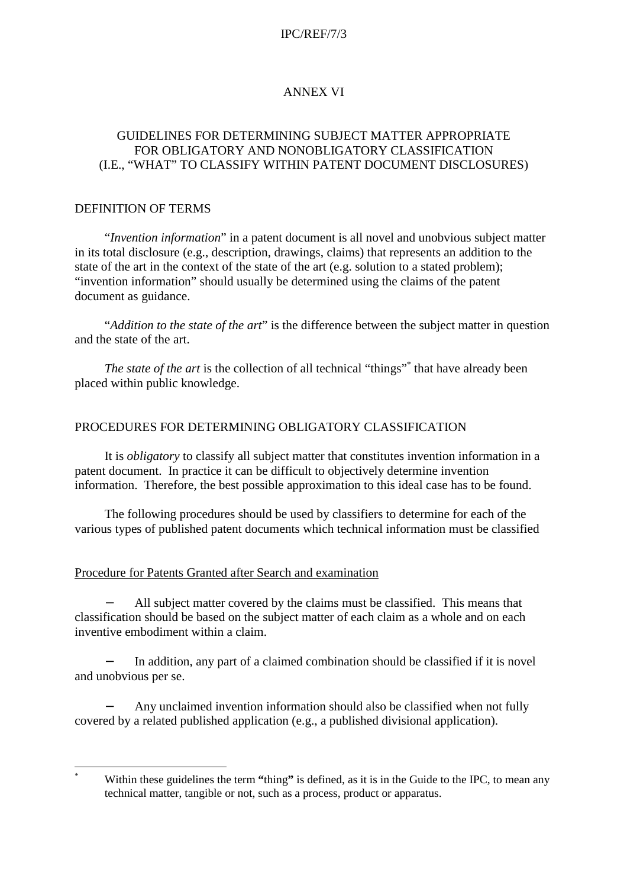### IPC/REF/7/3

# ANNEX VI

## GUIDELINES FOR DETERMINING SUBJECT MATTER APPROPRIATE FOR OBLIGATORY AND NONOBLIGATORY CLASSIFICATION (I.E., "WHAT" TO CLASSIFY WITHIN PATENT DOCUMENT DISCLOSURES)

#### DEFINITION OF TERMS

 $\overline{a}$ 

"*Invention information*" in a patent document is all novel and unobvious subject matter in its total disclosure (e.g., description, drawings, claims) that represents an addition to the state of the art in the context of the state of the art (e.g. solution to a stated problem); "invention information" should usually be determined using the claims of the patent document as guidance.

"*Addition to the state of the art*" is the difference between the subject matter in question and the state of the art.

The state of the art is the collection of all technical "things"<sup>\*</sup> that have already been placed within public knowledge.

### PROCEDURES FOR DETERMINING OBLIGATORY CLASSIFICATION

It is *obligatory* to classify all subject matter that constitutes invention information in a patent document. In practice it can be difficult to objectively determine invention information. Therefore, the best possible approximation to this ideal case has to be found.

The following procedures should be used by classifiers to determine for each of the various types of published patent documents which technical information must be classified

## Procedure for Patents Granted after Search and examination

All subject matter covered by the claims must be classified. This means that classification should be based on the subject matter of each claim as a whole and on each inventive embodiment within a claim.

In addition, any part of a claimed combination should be classified if it is novel and unobvious per se.

− Any unclaimed invention information should also be classified when not fully covered by a related published application (e.g., a published divisional application).

<sup>\*</sup> Within these guidelines the term **"**thing**"** is defined, as it is in the Guide to the IPC, to mean any technical matter, tangible or not, such as a process, product or apparatus.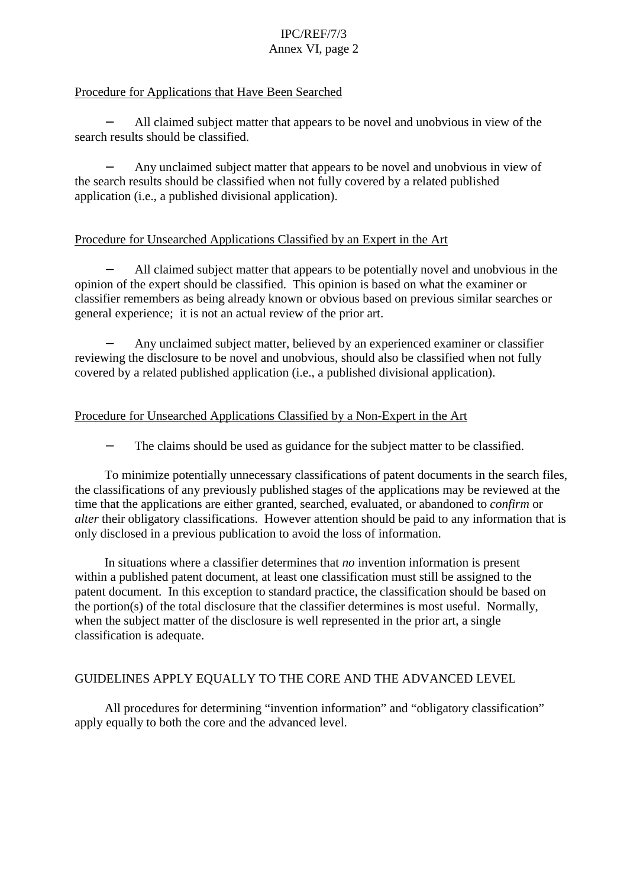# IPC/REF/7/3 Annex VI, page 2

## Procedure for Applications that Have Been Searched

All claimed subject matter that appears to be novel and unobvious in view of the search results should be classified.

Any unclaimed subject matter that appears to be novel and unobvious in view of the search results should be classified when not fully covered by a related published application (i.e., a published divisional application).

## Procedure for Unsearched Applications Classified by an Expert in the Art

All claimed subject matter that appears to be potentially novel and unobvious in the opinion of the expert should be classified. This opinion is based on what the examiner or classifier remembers as being already known or obvious based on previous similar searches or general experience; it is not an actual review of the prior art.

− Any unclaimed subject matter, believed by an experienced examiner or classifier reviewing the disclosure to be novel and unobvious, should also be classified when not fully covered by a related published application (i.e., a published divisional application).

### Procedure for Unsearched Applications Classified by a Non-Expert in the Art

The claims should be used as guidance for the subject matter to be classified.

To minimize potentially unnecessary classifications of patent documents in the search files, the classifications of any previously published stages of the applications may be reviewed at the time that the applications are either granted, searched, evaluated, or abandoned to *confirm* or *alter* their obligatory classifications. However attention should be paid to any information that is only disclosed in a previous publication to avoid the loss of information.

In situations where a classifier determines that *no* invention information is present within a published patent document, at least one classification must still be assigned to the patent document. In this exception to standard practice, the classification should be based on the portion(s) of the total disclosure that the classifier determines is most useful. Normally, when the subject matter of the disclosure is well represented in the prior art, a single classification is adequate.

# GUIDELINES APPLY EQUALLY TO THE CORE AND THE ADVANCED LEVEL

All procedures for determining "invention information" and "obligatory classification" apply equally to both the core and the advanced level.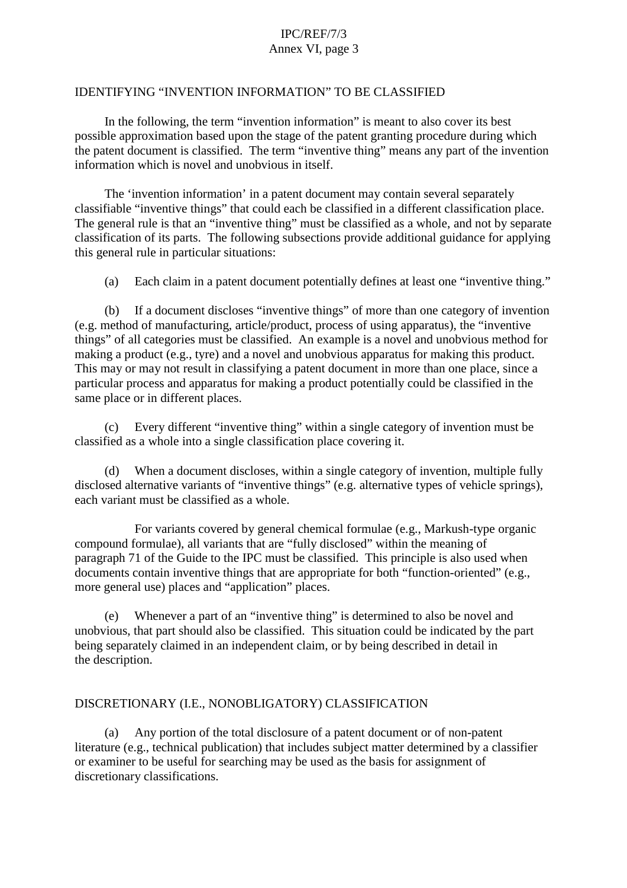# IPC/REF/7/3 Annex VI, page 3

#### IDENTIFYING "INVENTION INFORMATION" TO BE CLASSIFIED

In the following, the term "invention information" is meant to also cover its best possible approximation based upon the stage of the patent granting procedure during which the patent document is classified. The term "inventive thing" means any part of the invention information which is novel and unobvious in itself.

The 'invention information' in a patent document may contain several separately classifiable "inventive things" that could each be classified in a different classification place. The general rule is that an "inventive thing" must be classified as a whole, and not by separate classification of its parts. The following subsections provide additional guidance for applying this general rule in particular situations:

(a) Each claim in a patent document potentially defines at least one "inventive thing."

(b) If a document discloses "inventive things" of more than one category of invention (e.g. method of manufacturing, article/product, process of using apparatus), the "inventive things" of all categories must be classified. An example is a novel and unobvious method for making a product (e.g., tyre) and a novel and unobvious apparatus for making this product. This may or may not result in classifying a patent document in more than one place, since a particular process and apparatus for making a product potentially could be classified in the same place or in different places.

(c) Every different "inventive thing" within a single category of invention must be classified as a whole into a single classification place covering it.

When a document discloses, within a single category of invention, multiple fully disclosed alternative variants of "inventive things" (e.g. alternative types of vehicle springs), each variant must be classified as a whole.

For variants covered by general chemical formulae (e.g., Markush-type organic compound formulae), all variants that are "fully disclosed" within the meaning of paragraph 71 of the Guide to the IPC must be classified. This principle is also used when documents contain inventive things that are appropriate for both "function-oriented" (e.g., more general use) places and "application" places.

(e) Whenever a part of an "inventive thing" is determined to also be novel and unobvious, that part should also be classified. This situation could be indicated by the part being separately claimed in an independent claim, or by being described in detail in the description.

### DISCRETIONARY (I.E., NONOBLIGATORY) CLASSIFICATION

(a) Any portion of the total disclosure of a patent document or of non-patent literature (e.g., technical publication) that includes subject matter determined by a classifier or examiner to be useful for searching may be used as the basis for assignment of discretionary classifications.